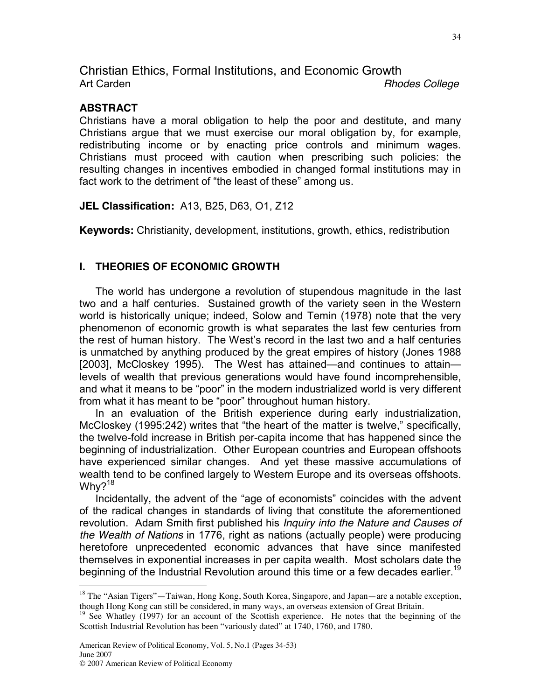Christian Ethics, Formal Institutions, and Economic Growth Art Carden *Rhodes College*

### **ABSTRACT**

Christians have a moral obligation to help the poor and destitute, and many Christians argue that we must exercise our moral obligation by, for example, redistributing income or by enacting price controls and minimum wages. Christians must proceed with caution when prescribing such policies: the resulting changes in incentives embodied in changed formal institutions may in fact work to the detriment of "the least of these" among us.

**JEL Classification:** A13, B25, D63, O1, Z12

**Keywords:** Christianity, development, institutions, growth, ethics, redistribution

## **I. THEORIES OF ECONOMIC GROWTH**

The world has undergone a revolution of stupendous magnitude in the last two and a half centuries. Sustained growth of the variety seen in the Western world is historically unique; indeed, Solow and Temin (1978) note that the very phenomenon of economic growth is what separates the last few centuries from the rest of human history. The West's record in the last two and a half centuries is unmatched by anything produced by the great empires of history (Jones 1988 [2003], McCloskey 1995). The West has attained—and continues to attain levels of wealth that previous generations would have found incomprehensible, and what it means to be "poor" in the modern industrialized world is very different from what it has meant to be "poor" throughout human history.

In an evaluation of the British experience during early industrialization, McCloskey (1995:242) writes that "the heart of the matter is twelve," specifically, the twelve-fold increase in British per-capita income that has happened since the beginning of industrialization. Other European countries and European offshoots have experienced similar changes. And yet these massive accumulations of wealth tend to be confined largely to Western Europe and its overseas offshoots. Why? $18$ 

Incidentally, the advent of the "age of economists" coincides with the advent of the radical changes in standards of living that constitute the aforementioned revolution. Adam Smith first published his *Inquiry into the Nature and Causes of the Wealth of Nations* in 1776, right as nations (actually people) were producing heretofore unprecedented economic advances that have since manifested themselves in exponential increases in per capita wealth. Most scholars date the beginning of the Industrial Revolution around this time or a few decades earlier.<sup>19</sup>

<sup>&</sup>lt;sup>18</sup> The "Asian Tigers"—Taiwan, Hong Kong, South Korea, Singapore, and Japan—are a notable exception, though Hong Kong can still be considered, in many ways, an overseas extension of Great Britain.

<sup>&</sup>lt;sup>19</sup> See Whatley (1997) for an account of the Scottish experience. He notes that the beginning of the Scottish Industrial Revolution has been "variously dated" at 1740, 1760, and 1780.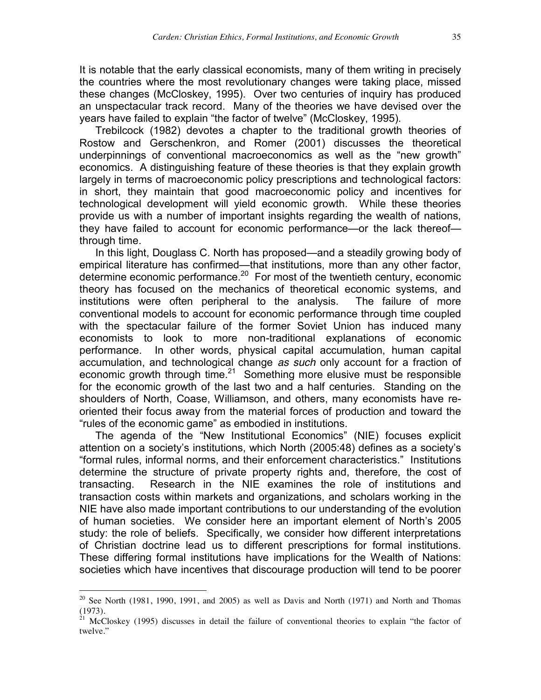It is notable that the early classical economists, many of them writing in precisely the countries where the most revolutionary changes were taking place, missed these changes (McCloskey, 1995). Over two centuries of inquiry has produced an unspectacular track record. Many of the theories we have devised over the years have failed to explain "the factor of twelve" (McCloskey, 1995).

Trebilcock (1982) devotes a chapter to the traditional growth theories of Rostow and Gerschenkron, and Romer (2001) discusses the theoretical underpinnings of conventional macroeconomics as well as the "new growth" economics. A distinguishing feature of these theories is that they explain growth largely in terms of macroeconomic policy prescriptions and technological factors: in short, they maintain that good macroeconomic policy and incentives for technological development will yield economic growth. While these theories provide us with a number of important insights regarding the wealth of nations, they have failed to account for economic performance—or the lack thereof through time.

In this light, Douglass C. North has proposed—and a steadily growing body of empirical literature has confirmed—that institutions, more than any other factor, determine economic performance.20 For most of the twentieth century, economic theory has focused on the mechanics of theoretical economic systems, and institutions were often peripheral to the analysis. The failure of more conventional models to account for economic performance through time coupled with the spectacular failure of the former Soviet Union has induced many economists to look to more non-traditional explanations of economic performance. In other words, physical capital accumulation, human capital accumulation, and technological change *as such* only account for a fraction of economic growth through time.21 Something more elusive must be responsible for the economic growth of the last two and a half centuries. Standing on the shoulders of North, Coase, Williamson, and others, many economists have reoriented their focus away from the material forces of production and toward the "rules of the economic game" as embodied in institutions.

The agenda of the "New Institutional Economics" (NIE) focuses explicit attention on a society's institutions, which North (2005:48) defines as a society's "formal rules, informal norms, and their enforcement characteristics." Institutions determine the structure of private property rights and, therefore, the cost of transacting. Research in the NIE examines the role of institutions and transaction costs within markets and organizations, and scholars working in the NIE have also made important contributions to our understanding of the evolution of human societies. We consider here an important element of North's 2005 study: the role of beliefs. Specifically, we consider how different interpretations of Christian doctrine lead us to different prescriptions for formal institutions. These differing formal institutions have implications for the Wealth of Nations: societies which have incentives that discourage production will tend to be poorer

 $20$  See North (1981, 1990, 1991, and 2005) as well as Davis and North (1971) and North and Thomas (1973).

 $21$  McCloskey (1995) discusses in detail the failure of conventional theories to explain "the factor of twelve."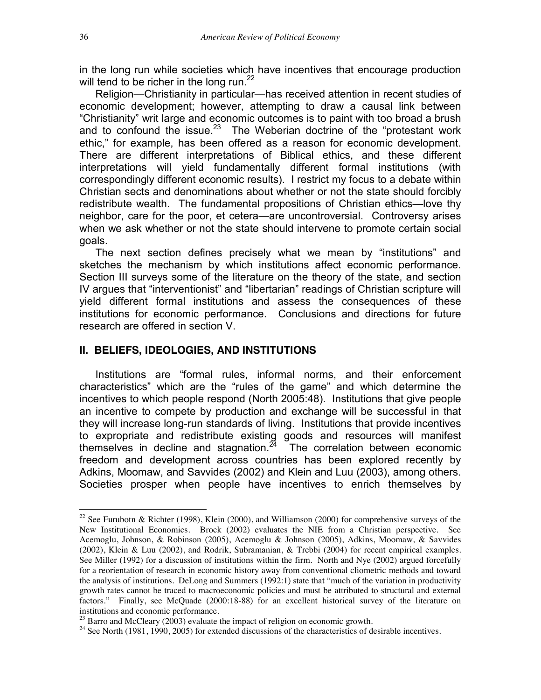in the long run while societies which have incentives that encourage production will tend to be richer in the long run.<sup>22</sup>

Religion—Christianity in particular—has received attention in recent studies of economic development; however, attempting to draw a causal link between "Christianity" writ large and economic outcomes is to paint with too broad a brush and to confound the issue.<sup>23</sup> The Weberian doctrine of the "protestant work ethic," for example, has been offered as a reason for economic development. There are different interpretations of Biblical ethics, and these different interpretations will yield fundamentally different formal institutions (with correspondingly different economic results). I restrict my focus to a debate within Christian sects and denominations about whether or not the state should forcibly redistribute wealth. The fundamental propositions of Christian ethics—love thy neighbor, care for the poor, et cetera—are uncontroversial. Controversy arises when we ask whether or not the state should intervene to promote certain social goals.

The next section defines precisely what we mean by "institutions" and sketches the mechanism by which institutions affect economic performance. Section III surveys some of the literature on the theory of the state, and section IV argues that "interventionist" and "libertarian" readings of Christian scripture will yield different formal institutions and assess the consequences of these institutions for economic performance. Conclusions and directions for future research are offered in section V.

### **II. BELIEFS, IDEOLOGIES, AND INSTITUTIONS**

Institutions are "formal rules, informal norms, and their enforcement characteristics" which are the "rules of the game" and which determine the incentives to which people respond (North 2005:48). Institutions that give people an incentive to compete by production and exchange will be successful in that they will increase long-run standards of living. Institutions that provide incentives to expropriate and redistribute existing goods and resources will manifest themselves in decline and stagnation. $24$  The correlation between economic freedom and development across countries has been explored recently by Adkins, Moomaw, and Savvides (2002) and Klein and Luu (2003), among others. Societies prosper when people have incentives to enrich themselves by

<sup>&</sup>lt;sup>22</sup> See Furubotn & Richter (1998), Klein (2000), and Williamson (2000) for comprehensive surveys of the New Institutional Economics. Brock (2002) evaluates the NIE from a Christian perspective. See Acemoglu, Johnson, & Robinson (2005), Acemoglu & Johnson (2005), Adkins, Moomaw, & Savvides (2002), Klein & Luu (2002), and Rodrik, Subramanian, & Trebbi (2004) for recent empirical examples. See Miller (1992) for a discussion of institutions within the firm. North and Nye (2002) argued forcefully for a reorientation of research in economic history away from conventional cliometric methods and toward the analysis of institutions. DeLong and Summers (1992:1) state that "much of the variation in productivity growth rates cannot be traced to macroeconomic policies and must be attributed to structural and external factors." Finally, see McQuade (2000:18-88) for an excellent historical survey of the literature on institutions and economic performance.<br> $^{23}$  Barro and McCleary (2003) evaluate the impact of religion on economic growth.

<sup>&</sup>lt;sup>24</sup> See North (1981, 1990, 2005) for extended discussions of the characteristics of desirable incentives.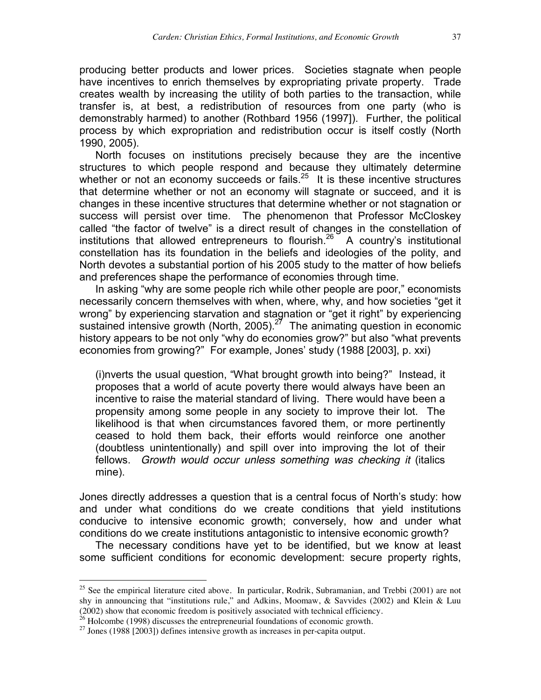producing better products and lower prices. Societies stagnate when people have incentives to enrich themselves by expropriating private property. Trade creates wealth by increasing the utility of both parties to the transaction, while transfer is, at best, a redistribution of resources from one party (who is demonstrably harmed) to another (Rothbard 1956 (1997]). Further, the political process by which expropriation and redistribution occur is itself costly (North 1990, 2005).

North focuses on institutions precisely because they are the incentive structures to which people respond and because they ultimately determine whether or not an economy succeeds or fails. $25$  It is these incentive structures that determine whether or not an economy will stagnate or succeed, and it is changes in these incentive structures that determine whether or not stagnation or success will persist over time. The phenomenon that Professor McCloskey called "the factor of twelve" is a direct result of changes in the constellation of institutions that allowed entrepreneurs to flourish.<sup>26</sup> A country's institutional constellation has its foundation in the beliefs and ideologies of the polity, and North devotes a substantial portion of his 2005 study to the matter of how beliefs and preferences shape the performance of economies through time.

In asking "why are some people rich while other people are poor," economists necessarily concern themselves with when, where, why, and how societies "get it wrong" by experiencing starvation and stagnation or "get it right" by experiencing sustained intensive growth (North, 2005).<sup>27</sup> The animating question in economic history appears to be not only "why do economies grow?" but also "what prevents economies from growing?" For example, Jones' study (1988 [2003], p. xxi)

(i)nverts the usual question, "What brought growth into being?" Instead, it proposes that a world of acute poverty there would always have been an incentive to raise the material standard of living. There would have been a propensity among some people in any society to improve their lot. The likelihood is that when circumstances favored them, or more pertinently ceased to hold them back, their efforts would reinforce one another (doubtless unintentionally) and spill over into improving the lot of their fellows. *Growth would occur unless something was checking it* (italics mine).

Jones directly addresses a question that is a central focus of North's study: how and under what conditions do we create conditions that yield institutions conducive to intensive economic growth; conversely, how and under what conditions do we create institutions antagonistic to intensive economic growth?

The necessary conditions have yet to be identified, but we know at least some sufficient conditions for economic development: secure property rights,

<sup>&</sup>lt;sup>25</sup> See the empirical literature cited above. In particular, Rodrik, Subramanian, and Trebbi (2001) are not shy in announcing that "institutions rule," and Adkins, Moomaw, & Savvides (2002) and Klein & Luu (2002) show that economic freedom is positively associated with technical efficiency.

<sup>&</sup>lt;sup>26</sup> Holcombe (1998) discusses the entrepreneurial foundations of economic growth.<br><sup>27</sup> Jones (1988 [2003]) defines intensive growth as increases in per-capita output.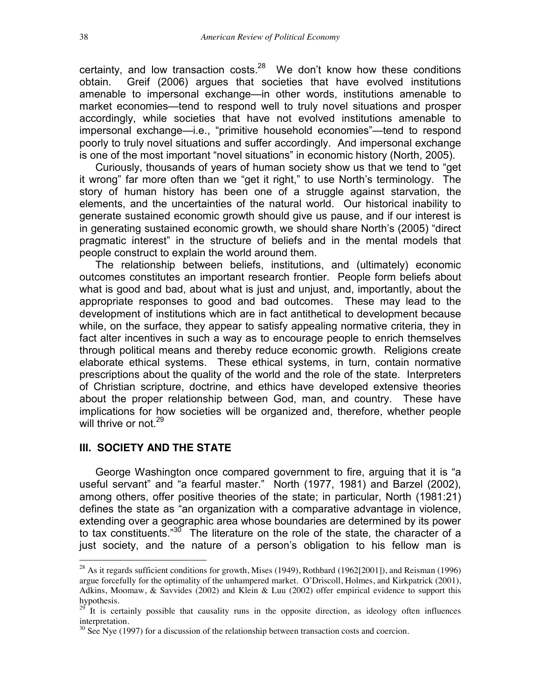certainty, and low transaction costs. $^{28}$  We don't know how these conditions obtain. Greif (2006) argues that societies that have evolved institutions amenable to impersonal exchange—in other words, institutions amenable to market economies—tend to respond well to truly novel situations and prosper accordingly, while societies that have not evolved institutions amenable to impersonal exchange—i.e., "primitive household economies"—tend to respond poorly to truly novel situations and suffer accordingly. And impersonal exchange is one of the most important "novel situations" in economic history (North, 2005).

Curiously, thousands of years of human society show us that we tend to "get it wrong" far more often than we "get it right," to use North's terminology. The story of human history has been one of a struggle against starvation, the elements, and the uncertainties of the natural world. Our historical inability to generate sustained economic growth should give us pause, and if our interest is in generating sustained economic growth, we should share North's (2005) "direct pragmatic interest" in the structure of beliefs and in the mental models that people construct to explain the world around them.

The relationship between beliefs, institutions, and (ultimately) economic outcomes constitutes an important research frontier. People form beliefs about what is good and bad, about what is just and unjust, and, importantly, about the appropriate responses to good and bad outcomes. These may lead to the development of institutions which are in fact antithetical to development because while, on the surface, they appear to satisfy appealing normative criteria, they in fact alter incentives in such a way as to encourage people to enrich themselves through political means and thereby reduce economic growth. Religions create elaborate ethical systems. These ethical systems, in turn, contain normative prescriptions about the quality of the world and the role of the state. Interpreters of Christian scripture, doctrine, and ethics have developed extensive theories about the proper relationship between God, man, and country. These have implications for how societies will be organized and, therefore, whether people will thrive or not.<sup>29</sup>

#### **III. SOCIETY AND THE STATE**

George Washington once compared government to fire, arguing that it is "a useful servant" and "a fearful master." North (1977, 1981) and Barzel (2002), among others, offer positive theories of the state; in particular, North (1981:21) defines the state as "an organization with a comparative advantage in violence, extending over a geographic area whose boundaries are determined by its power to tax constituents."<sup>30</sup> The literature on the role of the state, the character of a just society, and the nature of a person's obligation to his fellow man is

 $^{28}$  As it regards sufficient conditions for growth, Mises (1949), Rothbard (1962[2001]), and Reisman (1996) argue forcefully for the optimality of the unhampered market. O'Driscoll, Holmes, and Kirkpatrick (2001), Adkins, Moomaw, & Savvides (2002) and Klein & Luu (2002) offer empirical evidence to support this hypothesis.

 $2^{9}$  It is certainly possible that causality runs in the opposite direction, as ideology often influences interpretation.

 $30$  See Nye (1997) for a discussion of the relationship between transaction costs and coercion.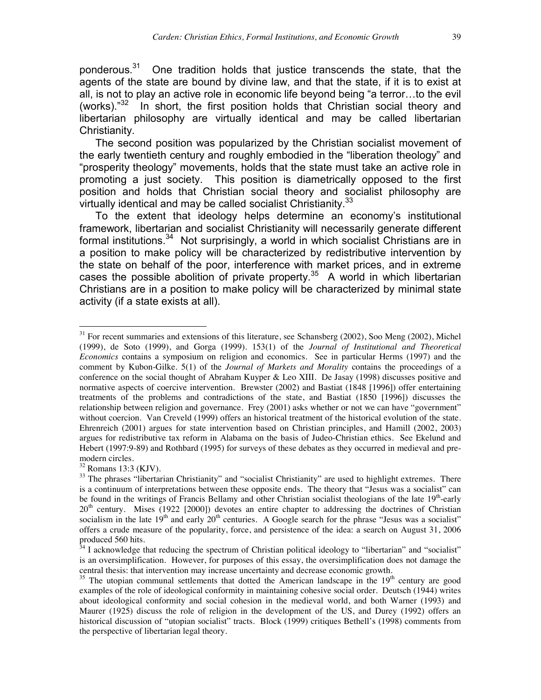ponderous.31 One tradition holds that justice transcends the state, that the agents of the state are bound by divine law, and that the state, if it is to exist at all, is not to play an active role in economic life beyond being "a terror…to the evil (works). $132$  In short, the first position holds that Christian social theory and libertarian philosophy are virtually identical and may be called libertarian Christianity.

The second position was popularized by the Christian socialist movement of the early twentieth century and roughly embodied in the "liberation theology" and "prosperity theology" movements, holds that the state must take an active role in promoting a just society. This position is diametrically opposed to the first position and holds that Christian social theory and socialist philosophy are virtually identical and may be called socialist Christianity.  $33$ 

To the extent that ideology helps determine an economy's institutional framework, libertarian and socialist Christianity will necessarily generate different formal institutions.<sup>34</sup> Not surprisingly, a world in which socialist Christians are in a position to make policy will be characterized by redistributive intervention by the state on behalf of the poor, interference with market prices, and in extreme cases the possible abolition of private property.<sup>35</sup> A world in which libertarian Christians are in a position to make policy will be characterized by minimal state activity (if a state exists at all).

 $31$  For recent summaries and extensions of this literature, see Schansberg (2002), Soo Meng (2002), Michel (1999), de Soto (1999), and Gorga (1999). 153(1) of the *Journal of Institutional and Theoretical Economics* contains a symposium on religion and economics. See in particular Herms (1997) and the comment by Kubon-Gilke. 5(1) of the *Journal of Markets and Morality* contains the proceedings of a conference on the social thought of Abraham Kuyper & Leo XIII. De Jasay (1998) discusses positive and normative aspects of coercive intervention. Brewster (2002) and Bastiat (1848 [1996]) offer entertaining treatments of the problems and contradictions of the state, and Bastiat (1850 [1996]) discusses the relationship between religion and governance. Frey (2001) asks whether or not we can have "government" without coercion. Van Creveld (1999) offers an historical treatment of the historical evolution of the state. Ehrenreich (2001) argues for state intervention based on Christian principles, and Hamill (2002, 2003) argues for redistributive tax reform in Alabama on the basis of Judeo-Christian ethics. See Ekelund and Hebert (1997:9-89) and Rothbard (1995) for surveys of these debates as they occurred in medieval and premodern circles.<br><sup>32</sup> Romans 13:3 (KJV).

<sup>&</sup>lt;sup>33</sup> The phrases "libertarian Christianity" and "socialist Christianity" are used to highlight extremes. There is a continuum of interpretations between these opposite ends. The theory that "Jesus was a socialist" can be found in the writings of Francis Bellamy and other Christian socialist theologians of the late 19<sup>th</sup>-early 20<sup>th</sup> century. Mises (1922 [2000]) devotes an entire chapter to addressing the doctrines of Christian socialism in the late  $19<sup>th</sup>$  and early  $20<sup>th</sup>$  centuries. A Google search for the phrase "Jesus was a socialist" offers a crude measure of the popularity, force, and persistence of the idea: a search on August 31, 2006 produced 560 hits.

 $34$  I acknowledge that reducing the spectrum of Christian political ideology to "libertarian" and "socialist" is an oversimplification. However, for purposes of this essay, the oversimplification does not damage the central thesis: that intervention may increase uncertainty and decrease economic growth.

 $35$  The utopian communal settlements that dotted the American landscape in the  $19<sup>th</sup>$  century are good examples of the role of ideological conformity in maintaining cohesive social order. Deutsch (1944) writes about ideological conformity and social cohesion in the medieval world, and both Warner (1993) and Maurer (1925) discuss the role of religion in the development of the US, and Durey (1992) offers an historical discussion of "utopian socialist" tracts. Block (1999) critiques Bethell's (1998) comments from the perspective of libertarian legal theory.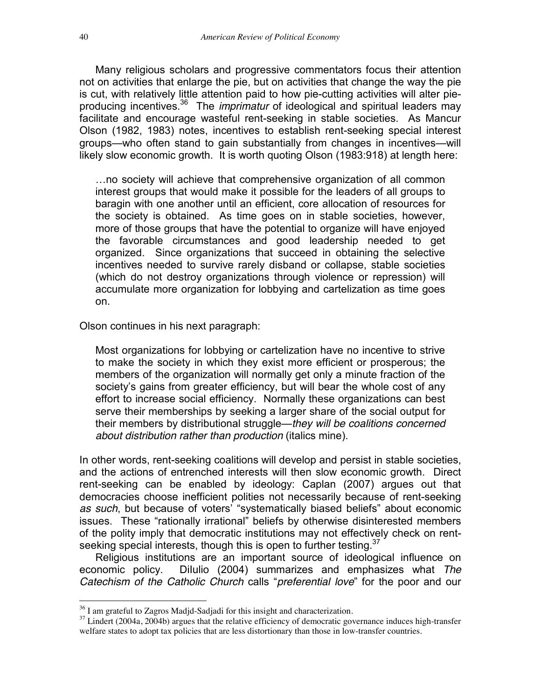Many religious scholars and progressive commentators focus their attention not on activities that enlarge the pie, but on activities that change the way the pie is cut, with relatively little attention paid to how pie-cutting activities will alter pieproducing incentives.36 The *imprimatur* of ideological and spiritual leaders may facilitate and encourage wasteful rent-seeking in stable societies. As Mancur Olson (1982, 1983) notes, incentives to establish rent-seeking special interest groups—who often stand to gain substantially from changes in incentives—will likely slow economic growth. It is worth quoting Olson (1983:918) at length here:

…no society will achieve that comprehensive organization of all common interest groups that would make it possible for the leaders of all groups to baragin with one another until an efficient, core allocation of resources for the society is obtained. As time goes on in stable societies, however, more of those groups that have the potential to organize will have enjoyed the favorable circumstances and good leadership needed to get organized. Since organizations that succeed in obtaining the selective incentives needed to survive rarely disband or collapse, stable societies (which do not destroy organizations through violence or repression) will accumulate more organization for lobbying and cartelization as time goes on.

Olson continues in his next paragraph:

Most organizations for lobbying or cartelization have no incentive to strive to make the society in which they exist more efficient or prosperous; the members of the organization will normally get only a minute fraction of the society's gains from greater efficiency, but will bear the whole cost of any effort to increase social efficiency. Normally these organizations can best serve their memberships by seeking a larger share of the social output for their members by distributional struggle—*they will be coalitions concerned about distribution rather than production* (italics mine).

In other words, rent-seeking coalitions will develop and persist in stable societies, and the actions of entrenched interests will then slow economic growth. Direct rent-seeking can be enabled by ideology: Caplan (2007) argues out that democracies choose inefficient polities not necessarily because of rent-seeking *as such*, but because of voters' "systematically biased beliefs" about economic issues. These "rationally irrational" beliefs by otherwise disinterested members of the polity imply that democratic institutions may not effectively check on rentseeking special interests, though this is open to further testing.  $37$ 

Religious institutions are an important source of ideological influence on economic policy. DiIulio (2004) summarizes and emphasizes what *The Catechism of the Catholic Church* calls "*preferential love*" for the poor and our

<sup>&</sup>lt;sup>36</sup> I am grateful to Zagros Madjd-Sadjadi for this insight and characterization.<br><sup>37</sup> Lindert (2004a, 2004b) argues that the relative efficiency of democratic governance induces high-transfer welfare states to adopt tax policies that are less distortionary than those in low-transfer countries.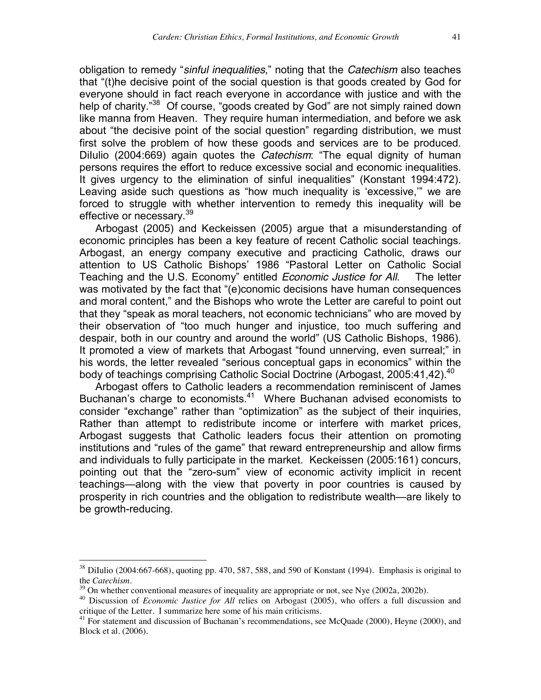obligation to remedy "*sinful inequalities*," noting that the *Catechism* also teaches that "(t)he decisive point of the social question is that goods created by God for everyone should in fact reach everyone in accordance with justice and with the help of charity."<sup>38</sup> Of course, "goods created by God" are not simply rained down like manna from Heaven. They require human intermediation, and before we ask about "the decisive point of the social question" regarding distribution, we must first solve the problem of how these goods and services are to be produced. Dilulio (2004:669) again quotes the *Catechism*: "The equal dignity of human persons requires the effort to reduce excessive social and economic inequalities. It gives urgency to the elimination of sinful inequalities" (Konstant 1994:472). Leaving aside such questions as "how much inequality is 'excessive,'" we are forced to struggle with whether intervention to remedy this inequality will be effective or necessary.<sup>39</sup>

Arbogast (2005) and Keckeissen (2005) argue that a misunderstanding of economic principles has been a key feature of recent Catholic social teachings. Arbogast, an energy company executive and practicing Catholic, draws our attention to US Catholic Bishops' 1986 "Pastoral Letter on Catholic Social Teaching and the U.S. Economy" entitled *Economic Justice for All*. The letter was motivated by the fact that "(e)conomic decisions have human consequences and moral content," and the Bishops who wrote the Letter are careful to point out that they "speak as moral teachers, not economic technicians" who are moved by their observation of "too much hunger and injustice, too much suffering and despair, both in our country and around the world" (US Catholic Bishops, 1986). It promoted a view of markets that Arbogast "found unnerving, even surreal;" in his words, the letter revealed "serious conceptual gaps in economics" within the body of teachings comprising Catholic Social Doctrine (Arbogast, 2005:41,42).<sup>40</sup>

Arbogast offers to Catholic leaders a recommendation reminiscent of James Buchanan's charge to economists.<sup>41</sup> Where Buchanan advised economists to consider "exchange" rather than "optimization" as the subject of their inquiries, Rather than attempt to redistribute income or interfere with market prices, Arbogast suggests that Catholic leaders focus their attention on promoting institutions and "rules of the game" that reward entrepreneurship and allow firms and individuals to fully participate in the market. Keckeissen (2005:161) concurs, pointing out that the "zero-sum" view of economic activity implicit in recent teachings—along with the view that poverty in poor countries is caused by prosperity in rich countries and the obligation to redistribute wealth—are likely to be growth-reducing.

 $38$  DiIulio (2004:667-668), quoting pp. 470, 587, 588, and 590 of Konstant (1994). Emphasis is original to the *Catechism*.<br><sup>39</sup> On whether conventional measures of inequality are appropriate or not, see Nye (2002a, 2002b).<br><sup>40</sup> Discussion of *Economic Justice for All* relies on Arbogast (2005), who offers a full discussion and

critique of the Letter. I summarize here some of his main criticisms.

 $41$  For statement and discussion of Buchanan's recommendations, see McQuade (2000), Heyne (2000), and Block et al. (2006).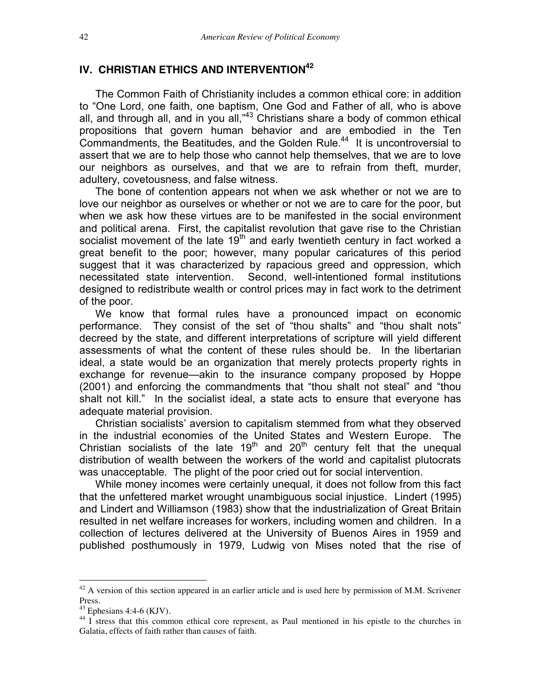## **IV. CHRISTIAN ETHICS AND INTERVENTION<sup>42</sup>**

The Common Faith of Christianity includes a common ethical core: in addition to "One Lord, one faith, one baptism, One God and Father of all, who is above all, and through all, and in you all, $^{43}$  Christians share a body of common ethical propositions that govern human behavior and are embodied in the Ten Commandments, the Beatitudes, and the Golden Rule.<sup>44</sup> It is uncontroversial to assert that we are to help those who cannot help themselves, that we are to love our neighbors as ourselves, and that we are to refrain from theft, murder, adultery, covetousness, and false witness.

The bone of contention appears not when we ask whether or not we are to love our neighbor as ourselves or whether or not we are to care for the poor, but when we ask how these virtues are to be manifested in the social environment and political arena. First, the capitalist revolution that gave rise to the Christian socialist movement of the late  $19<sup>th</sup>$  and early twentieth century in fact worked a great benefit to the poor; however, many popular caricatures of this period suggest that it was characterized by rapacious greed and oppression, which necessitated state intervention. Second, well-intentioned formal institutions designed to redistribute wealth or control prices may in fact work to the detriment of the poor.

We know that formal rules have a pronounced impact on economic performance. They consist of the set of "thou shalts" and "thou shalt nots" decreed by the state, and different interpretations of scripture will yield different assessments of what the content of these rules should be. In the libertarian ideal, a state would be an organization that merely protects property rights in exchange for revenue—akin to the insurance company proposed by Hoppe (2001) and enforcing the commandments that "thou shalt not steal" and "thou shalt not kill." In the socialist ideal, a state acts to ensure that everyone has adequate material provision.

Christian socialists' aversion to capitalism stemmed from what they observed in the industrial economies of the United States and Western Europe. The Christian socialists of the late  $19<sup>th</sup>$  and  $20<sup>th</sup>$  century felt that the unequal distribution of wealth between the workers of the world and capitalist plutocrats was unacceptable. The plight of the poor cried out for social intervention.

While money incomes were certainly unequal, it does not follow from this fact that the unfettered market wrought unambiguous social injustice. Lindert (1995) and Lindert and Williamson (1983) show that the industrialization of Great Britain resulted in net welfare increases for workers, including women and children. In a collection of lectures delivered at the University of Buenos Aires in 1959 and published posthumously in 1979, Ludwig von Mises noted that the rise of

 $42$  A version of this section appeared in an earlier article and is used here by permission of M.M. Scrivener Press.<br> $43$  Ephesians 4:4-6 (KJV).

 $\frac{44}{1}$  I stress that this common ethical core represent, as Paul mentioned in his epistle to the churches in Galatia, effects of faith rather than causes of faith.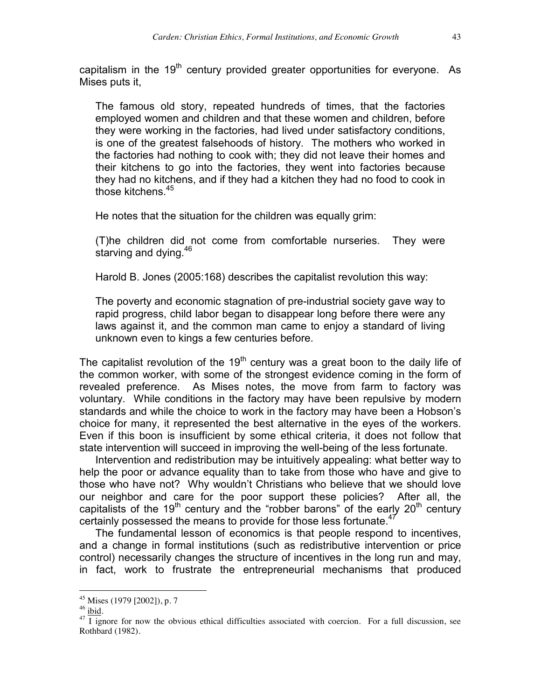capitalism in the  $19<sup>th</sup>$  century provided greater opportunities for everyone. As Mises puts it,

The famous old story, repeated hundreds of times, that the factories employed women and children and that these women and children, before they were working in the factories, had lived under satisfactory conditions, is one of the greatest falsehoods of history. The mothers who worked in the factories had nothing to cook with; they did not leave their homes and their kitchens to go into the factories, they went into factories because they had no kitchens, and if they had a kitchen they had no food to cook in those kitchens.45

He notes that the situation for the children was equally grim:

(T)he children did not come from comfortable nurseries. They were starving and dying.<sup>46</sup>

Harold B. Jones (2005:168) describes the capitalist revolution this way:

The poverty and economic stagnation of pre-industrial society gave way to rapid progress, child labor began to disappear long before there were any laws against it, and the common man came to enjoy a standard of living unknown even to kings a few centuries before.

The capitalist revolution of the  $19<sup>th</sup>$  century was a great boon to the daily life of the common worker, with some of the strongest evidence coming in the form of revealed preference. As Mises notes, the move from farm to factory was voluntary. While conditions in the factory may have been repulsive by modern standards and while the choice to work in the factory may have been a Hobson's choice for many, it represented the best alternative in the eyes of the workers. Even if this boon is insufficient by some ethical criteria, it does not follow that state intervention will succeed in improving the well-being of the less fortunate.

Intervention and redistribution may be intuitively appealing: what better way to help the poor or advance equality than to take from those who have and give to those who have not? Why wouldn't Christians who believe that we should love our neighbor and care for the poor support these policies? After all, the capitalists of the 19<sup>th</sup> century and the "robber barons" of the early  $20<sup>th</sup>$  century certainly possessed the means to provide for those less fortunate.<sup>47</sup>

The fundamental lesson of economics is that people respond to incentives, and a change in formal institutions (such as redistributive intervention or price control) necessarily changes the structure of incentives in the long run and may, in fact, work to frustrate the entrepreneurial mechanisms that produced

<sup>&</sup>lt;sup>45</sup> Mises (1979 [2002]), p. 7<br><sup>46</sup> <u>ibid</u>.<br><sup>47</sup> I ignore for now the obvious ethical difficulties associated with coercion. For a full discussion, see Rothbard (1982).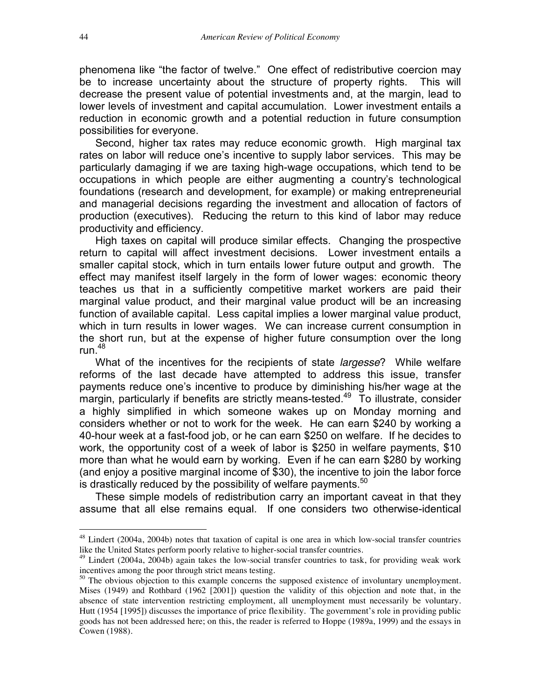phenomena like "the factor of twelve." One effect of redistributive coercion may be to increase uncertainty about the structure of property rights. This will decrease the present value of potential investments and, at the margin, lead to lower levels of investment and capital accumulation. Lower investment entails a reduction in economic growth and a potential reduction in future consumption possibilities for everyone.

Second, higher tax rates may reduce economic growth. High marginal tax rates on labor will reduce one's incentive to supply labor services. This may be particularly damaging if we are taxing high-wage occupations, which tend to be occupations in which people are either augmenting a country's technological foundations (research and development, for example) or making entrepreneurial and managerial decisions regarding the investment and allocation of factors of production (executives). Reducing the return to this kind of labor may reduce productivity and efficiency.

High taxes on capital will produce similar effects. Changing the prospective return to capital will affect investment decisions. Lower investment entails a smaller capital stock, which in turn entails lower future output and growth. The effect may manifest itself largely in the form of lower wages: economic theory teaches us that in a sufficiently competitive market workers are paid their marginal value product, and their marginal value product will be an increasing function of available capital. Less capital implies a lower marginal value product, which in turn results in lower wages. We can increase current consumption in the short run, but at the expense of higher future consumption over the long run. $48$ 

What of the incentives for the recipients of state *largesse*? While welfare reforms of the last decade have attempted to address this issue, transfer payments reduce one's incentive to produce by diminishing his/her wage at the  $\overline{m}$  margin, particularly if benefits are strictly means-tested.<sup>49</sup> To illustrate, consider a highly simplified in which someone wakes up on Monday morning and considers whether or not to work for the week. He can earn \$240 by working a 40-hour week at a fast-food job, or he can earn \$250 on welfare. If he decides to work, the opportunity cost of a week of labor is \$250 in welfare payments, \$10 more than what he would earn by working. Even if he can earn \$280 by working (and enjoy a positive marginal income of \$30), the incentive to join the labor force is drastically reduced by the possibility of welfare payments. $50$ 

These simple models of redistribution carry an important caveat in that they assume that all else remains equal. If one considers two otherwise-identical

 $48$  Lindert (2004a, 2004b) notes that taxation of capital is one area in which low-social transfer countries like the United States perform poorly relative to higher-social transfer countries.

<sup>49</sup> Lindert (2004a, 2004b) again takes the low-social transfer countries to task, for providing weak work incentives among the poor through strict means testing.

<sup>&</sup>lt;sup>50</sup> The obvious objection to this example concerns the supposed existence of involuntary unemployment. Mises (1949) and Rothbard (1962 [2001]) question the validity of this objection and note that, in the absence of state intervention restricting employment, all unemployment must necessarily be voluntary. Hutt (1954 [1995]) discusses the importance of price flexibility. The government's role in providing public goods has not been addressed here; on this, the reader is referred to Hoppe (1989a, 1999) and the essays in Cowen (1988).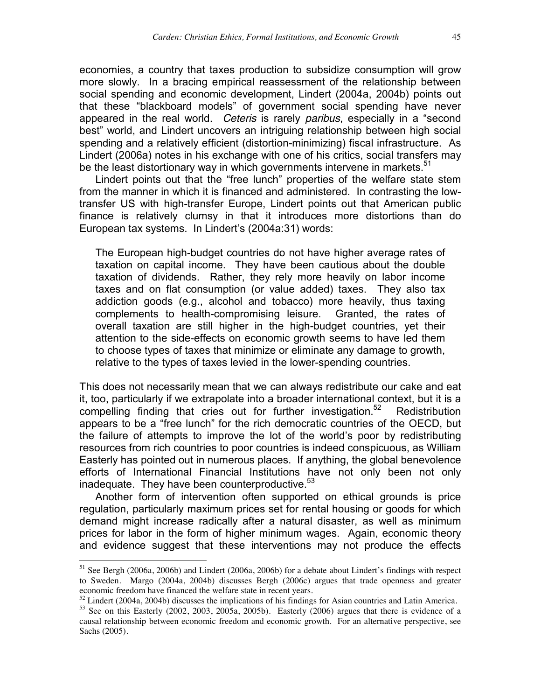economies, a country that taxes production to subsidize consumption will grow more slowly. In a bracing empirical reassessment of the relationship between social spending and economic development, Lindert (2004a, 2004b) points out that these "blackboard models" of government social spending have never appeared in the real world. *Ceteris* is rarely *paribus*, especially in a "second best" world, and Lindert uncovers an intriguing relationship between high social spending and a relatively efficient (distortion-minimizing) fiscal infrastructure. As Lindert (2006a) notes in his exchange with one of his critics, social transfers may be the least distortionary way in which governments intervene in markets. $51$ 

Lindert points out that the "free lunch" properties of the welfare state stem from the manner in which it is financed and administered. In contrasting the lowtransfer US with high-transfer Europe, Lindert points out that American public finance is relatively clumsy in that it introduces more distortions than do European tax systems. In Lindert's (2004a:31) words:

The European high-budget countries do not have higher average rates of taxation on capital income. They have been cautious about the double taxation of dividends. Rather, they rely more heavily on labor income taxes and on flat consumption (or value added) taxes. They also tax addiction goods (e.g., alcohol and tobacco) more heavily, thus taxing complements to health-compromising leisure. Granted, the rates of overall taxation are still higher in the high-budget countries, yet their attention to the side-effects on economic growth seems to have led them to choose types of taxes that minimize or eliminate any damage to growth, relative to the types of taxes levied in the lower-spending countries.

This does not necessarily mean that we can always redistribute our cake and eat it, too, particularly if we extrapolate into a broader international context, but it is a compelling finding that cries out for further investigation.<sup>52</sup> Redistribution appears to be a "free lunch" for the rich democratic countries of the OECD, but the failure of attempts to improve the lot of the world's poor by redistributing resources from rich countries to poor countries is indeed conspicuous, as William Easterly has pointed out in numerous places. If anything, the global benevolence efforts of International Financial Institutions have not only been not only inadequate. They have been counterproductive. $53$ 

Another form of intervention often supported on ethical grounds is price regulation, particularly maximum prices set for rental housing or goods for which demand might increase radically after a natural disaster, as well as minimum prices for labor in the form of higher minimum wages. Again, economic theory and evidence suggest that these interventions may not produce the effects

<sup>&</sup>lt;sup>51</sup> See Bergh (2006a, 2006b) and Lindert (2006a, 2006b) for a debate about Lindert's findings with respect to Sweden. Margo (2004a, 2004b) discusses Bergh (2006c) argues that trade openness and greater economic freedom have financed the welfare state in recent years.

 $52$  Lindert (2004a, 2004b) discusses the implications of his findings for Asian countries and Latin America.

<sup>53</sup> See on this Easterly (2002, 2003, 2005a, 2005b). Easterly (2006) argues that there is evidence of a causal relationship between economic freedom and economic growth. For an alternative perspective, see Sachs (2005).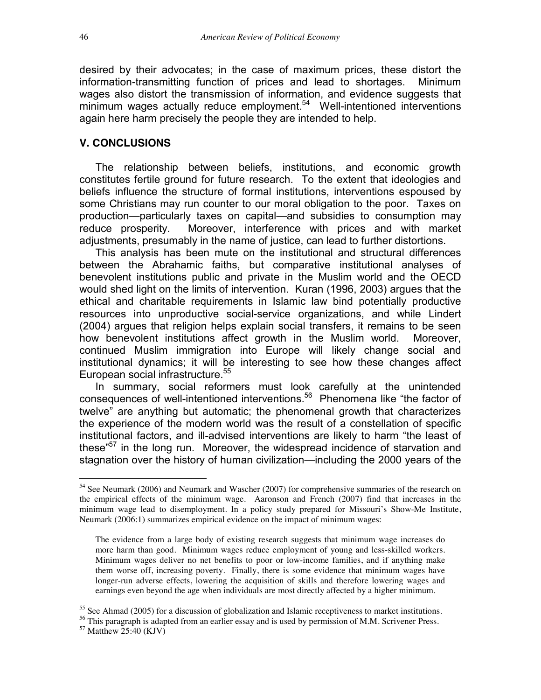desired by their advocates; in the case of maximum prices, these distort the information-transmitting function of prices and lead to shortages. Minimum wages also distort the transmission of information, and evidence suggests that minimum wages actually reduce employment.<sup>54</sup> Well-intentioned interventions again here harm precisely the people they are intended to help.

### **V. CONCLUSIONS**

The relationship between beliefs, institutions, and economic growth constitutes fertile ground for future research. To the extent that ideologies and beliefs influence the structure of formal institutions, interventions espoused by some Christians may run counter to our moral obligation to the poor. Taxes on production—particularly taxes on capital—and subsidies to consumption may reduce prosperity. Moreover, interference with prices and with market adjustments, presumably in the name of justice, can lead to further distortions.

This analysis has been mute on the institutional and structural differences between the Abrahamic faiths, but comparative institutional analyses of benevolent institutions public and private in the Muslim world and the OECD would shed light on the limits of intervention. Kuran (1996, 2003) argues that the ethical and charitable requirements in Islamic law bind potentially productive resources into unproductive social-service organizations, and while Lindert (2004) argues that religion helps explain social transfers, it remains to be seen how benevolent institutions affect growth in the Muslim world. Moreover, continued Muslim immigration into Europe will likely change social and institutional dynamics; it will be interesting to see how these changes affect European social infrastructure.<sup>55</sup>

In summary, social reformers must look carefully at the unintended consequences of well-intentioned interventions.<sup>56</sup> Phenomena like "the factor of twelve" are anything but automatic; the phenomenal growth that characterizes the experience of the modern world was the result of a constellation of specific institutional factors, and ill-advised interventions are likely to harm "the least of these $157}$  in the long run. Moreover, the widespread incidence of starvation and stagnation over the history of human civilization—including the 2000 years of the

<sup>&</sup>lt;sup>54</sup> See Neumark (2006) and Neumark and Wascher (2007) for comprehensive summaries of the research on the empirical effects of the minimum wage. Aaronson and French (2007) find that increases in the minimum wage lead to disemployment. In a policy study prepared for Missouri's Show-Me Institute, Neumark (2006:1) summarizes empirical evidence on the impact of minimum wages:

The evidence from a large body of existing research suggests that minimum wage increases do more harm than good. Minimum wages reduce employment of young and less-skilled workers. Minimum wages deliver no net benefits to poor or low-income families, and if anything make them worse off, increasing poverty. Finally, there is some evidence that minimum wages have longer-run adverse effects, lowering the acquisition of skills and therefore lowering wages and earnings even beyond the age when individuals are most directly affected by a higher minimum.

 $55$  See Ahmad (2005) for a discussion of globalization and Islamic receptiveness to market institutions.

<sup>&</sup>lt;sup>56</sup> This paragraph is adapted from an earlier essay and is used by permission of M.M. Scrivener Press.

<sup>57</sup> Matthew 25:40 (KJV)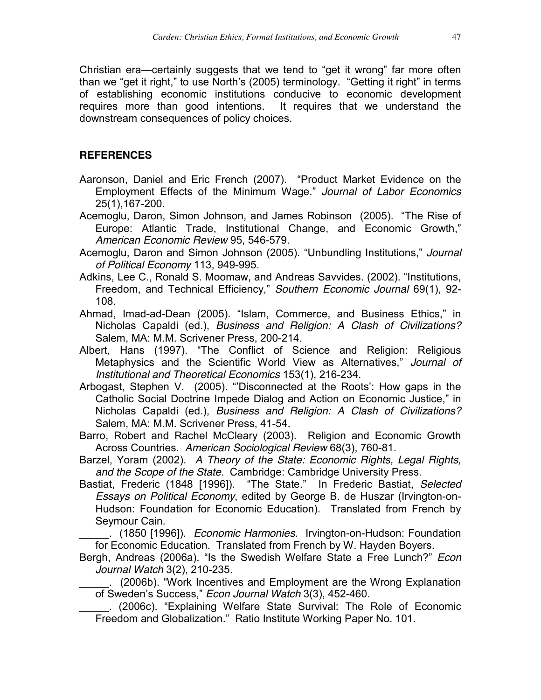Christian era—certainly suggests that we tend to "get it wrong" far more often than we "get it right," to use North's (2005) terminology. "Getting it right" in terms of establishing economic institutions conducive to economic development requires more than good intentions. It requires that we understand the downstream consequences of policy choices.

# **REFERENCES**

- Aaronson, Daniel and Eric French (2007). "Product Market Evidence on the Employment Effects of the Minimum Wage." *Journal of Labor Economics* 25(1),167-200.
- Acemoglu, Daron, Simon Johnson, and James Robinson (2005). "The Rise of Europe: Atlantic Trade, Institutional Change, and Economic Growth," *American Economic Review* 95, 546-579.
- Acemoglu, Daron and Simon Johnson (2005). "Unbundling Institutions," *Journal of Political Economy* 113, 949-995.
- Adkins, Lee C., Ronald S. Moomaw, and Andreas Savvides. (2002). "Institutions, Freedom, and Technical Efficiency," *Southern Economic Journal* 69(1), 92- 108.
- Ahmad, Imad-ad-Dean (2005). "Islam, Commerce, and Business Ethics," in Nicholas Capaldi (ed.), *Business and Religion: A Clash of Civilizations?* Salem, MA: M.M. Scrivener Press, 200-214.
- Albert, Hans (1997). "The Conflict of Science and Religion: Religious Metaphysics and the Scientific World View as Alternatives," *Journal of Institutional and Theoretical Economics* 153(1), 216-234.
- Arbogast, Stephen V. (2005). "'Disconnected at the Roots': How gaps in the Catholic Social Doctrine Impede Dialog and Action on Economic Justice," in Nicholas Capaldi (ed.), *Business and Religion: A Clash of Civilizations?* Salem, MA: M.M. Scrivener Press, 41-54.
- Barro, Robert and Rachel McCleary (2003). Religion and Economic Growth Across Countries. *American Sociological Review* 68(3), 760-81.
- Barzel, Yoram (2002). *A Theory of the State: Economic Rights, Legal Rights, and the Scope of the State*. Cambridge: Cambridge University Press.
- Bastiat, Frederic (1848 [1996]). "The State." In Frederic Bastiat, *Selected Essays on Political Economy*, edited by George B. de Huszar (Irvington-on-Hudson: Foundation for Economic Education). Translated from French by Seymour Cain.

\_\_\_\_\_. (1850 [1996]). *Economic Harmonies*. Irvington-on-Hudson: Foundation for Economic Education. Translated from French by W. Hayden Boyers.

- Bergh, Andreas (2006a). "Is the Swedish Welfare State a Free Lunch?" *Econ Journal Watch* 3(2), 210-235.
- (2006b). "Work Incentives and Employment are the Wrong Explanation of Sweden's Success," *Econ Journal Watch* 3(3), 452-460.

\_\_\_\_\_. (2006c). "Explaining Welfare State Survival: The Role of Economic Freedom and Globalization." Ratio Institute Working Paper No. 101.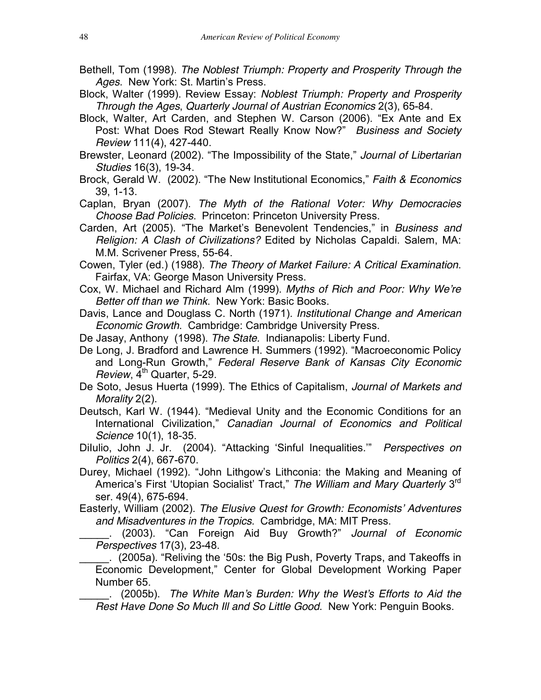- Bethell, Tom (1998). *The Noblest Triumph: Property and Prosperity Through the Ages*. New York: St. Martin's Press.
- Block, Walter (1999). Review Essay: *Noblest Triumph: Property and Prosperity Through the Ages*, *Quarterly Journal of Austrian Economics* 2(3), 65-84.
- Block, Walter, Art Carden, and Stephen W. Carson (2006). "Ex Ante and Ex Post: What Does Rod Stewart Really Know Now?" *Business and Society Review* 111(4), 427-440.
- Brewster, Leonard (2002). "The Impossibility of the State," *Journal of Libertarian Studies* 16(3), 19-34.
- Brock, Gerald W. (2002). "The New Institutional Economics," *Faith & Economics* 39, 1-13.

Caplan, Bryan (2007). *The Myth of the Rational Voter: Why Democracies Choose Bad Policies*. Princeton: Princeton University Press.

- Carden, Art (2005). "The Market's Benevolent Tendencies," in *Business and Religion: A Clash of Civilizations?* Edited by Nicholas Capaldi. Salem, MA: M.M. Scrivener Press, 55-64.
- Cowen, Tyler (ed.) (1988). *The Theory of Market Failure: A Critical Examination*. Fairfax, VA: George Mason University Press.
- Cox, W. Michael and Richard Alm (1999). *Myths of Rich and Poor: Why We're Better off than we Think*. New York: Basic Books.
- Davis, Lance and Douglass C. North (1971). *Institutional Change and American Economic Growth*. Cambridge: Cambridge University Press.
- De Jasay, Anthony (1998). *The State*. Indianapolis: Liberty Fund.
- De Long, J. Bradford and Lawrence H. Summers (1992). "Macroeconomic Policy and Long-Run Growth," *Federal Reserve Bank of Kansas City Economic*  $Review, 4<sup>th</sup>$  Quarter, 5-29.
- De Soto, Jesus Huerta (1999). The Ethics of Capitalism, *Journal of Markets and Morality* 2(2).
- Deutsch, Karl W. (1944). "Medieval Unity and the Economic Conditions for an International Civilization," *Canadian Journal of Economics and Political Science* 10(1), 18-35.
- DiIulio, John J. Jr. (2004). "Attacking 'Sinful Inequalities.'" *Perspectives on Politics* 2(4), 667-670.
- Durey, Michael (1992). "John Lithgow's Lithconia: the Making and Meaning of America's First 'Utopian Socialist' Tract," *The William and Mary Quarterly* 3rd ser. 49(4), 675-694.
- Easterly, William (2002). *The Elusive Quest for Growth: Economists' Adventures and Misadventures in the Tropics*. Cambridge, MA: MIT Press.

\_\_\_\_\_. (2003). "Can Foreign Aid Buy Growth?" *Journal of Economic Perspectives* 17(3), 23-48.

\_\_\_\_\_. (2005a). "Reliving the '50s: the Big Push, Poverty Traps, and Takeoffs in Economic Development," Center for Global Development Working Paper Number 65.

\_\_\_\_\_. (2005b). *The White Man's Burden: Why the West's Efforts to Aid the Rest Have Done So Much Ill and So Little Good*. New York: Penguin Books.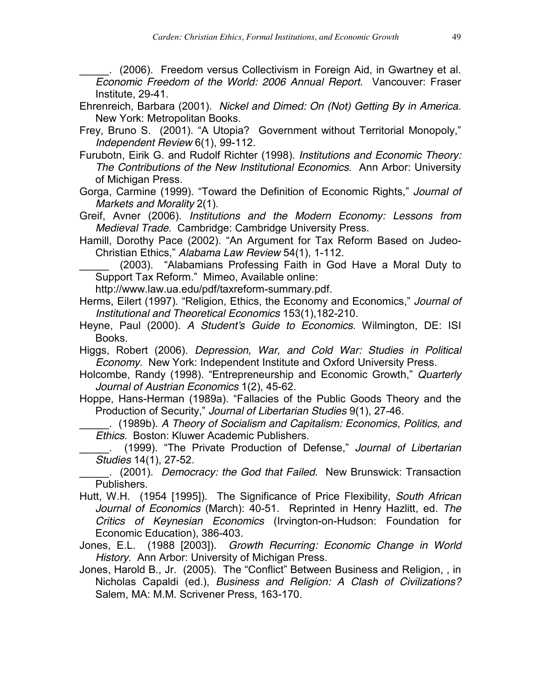(2006). Freedom versus Collectivism in Foreign Aid, in Gwartney et al. *Economic Freedom of the World: 2006 Annual Report*. Vancouver: Fraser Institute, 29-41.

- Ehrenreich, Barbara (2001). *Nickel and Dimed: On (Not) Getting By in America*. New York: Metropolitan Books.
- Frey, Bruno S. (2001). "A Utopia? Government without Territorial Monopoly," *Independent Review* 6(1), 99-112.
- Furubotn, Eirik G. and Rudolf Richter (1998). *Institutions and Economic Theory: The Contributions of the New Institutional Economics*. Ann Arbor: University of Michigan Press.
- Gorga, Carmine (1999). "Toward the Definition of Economic Rights," *Journal of Markets and Morality* 2(1).
- Greif, Avner (2006). *Institutions and the Modern Economy: Lessons from Medieval Trade*. Cambridge: Cambridge University Press.
- Hamill, Dorothy Pace (2002). "An Argument for Tax Reform Based on Judeo-Christian Ethics," *Alabama Law Review* 54(1), 1-112.

(2003). "Alabamians Professing Faith in God Have a Moral Duty to Support Tax Reform." Mimeo, Available online:

http://www.law.ua.edu/pdf/taxreform-summary.pdf.

- Herms, Eilert (1997). "Religion, Ethics, the Economy and Economics," *Journal of Institutional and Theoretical Economics* 153(1),182-210.
- Heyne, Paul (2000). *A Student's Guide to Economics*. Wilmington, DE: ISI Books.

Higgs, Robert (2006). *Depression, War, and Cold War: Studies in Political Economy*. New York: Independent Institute and Oxford University Press.

Holcombe, Randy (1998). "Entrepreneurship and Economic Growth," *Quarterly Journal of Austrian Economics* 1(2), 45-62.

Hoppe, Hans-Herman (1989a). "Fallacies of the Public Goods Theory and the Production of Security," *Journal of Libertarian Studies* 9(1), 27-46.

\_\_\_\_\_. (1989b). *A Theory of Socialism and Capitalism: Economics, Politics, and Ethics*. Boston: Kluwer Academic Publishers.

\_\_\_\_\_. (1999). "The Private Production of Defense," *Journal of Libertarian Studies* 14(1), 27-52.

\_\_\_\_\_. (2001). *Democracy: the God that Failed*. New Brunswick: Transaction Publishers.

- Hutt, W.H. (1954 [1995]). The Significance of Price Flexibility, *South African Journal of Economics* (March): 40-51. Reprinted in Henry Hazlitt, ed. *The Critics of Keynesian Economics* (Irvington-on-Hudson: Foundation for Economic Education), 386-403.
- Jones, E.L. (1988 [2003]). *Growth Recurring: Economic Change in World History*. Ann Arbor: University of Michigan Press.
- Jones, Harold B., Jr. (2005). The "Conflict" Between Business and Religion, , in Nicholas Capaldi (ed.), *Business and Religion: A Clash of Civilizations?* Salem, MA: M.M. Scrivener Press, 163-170.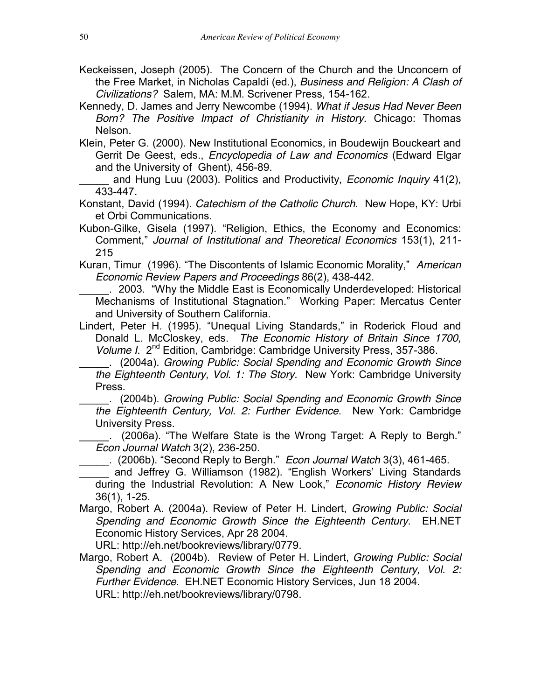- Keckeissen, Joseph (2005). The Concern of the Church and the Unconcern of the Free Market, in Nicholas Capaldi (ed.), *Business and Religion: A Clash of Civilizations?* Salem, MA: M.M. Scrivener Press, 154-162.
- Kennedy, D. James and Jerry Newcombe (1994). *What if Jesus Had Never Been Born? The Positive Impact of Christianity in History*. Chicago: Thomas Nelson.
- Klein, Peter G. (2000). New Institutional Economics, in Boudewijn Bouckeart and Gerrit De Geest, eds., *Encyclopedia of Law and Economics* (Edward Elgar and the University of Ghent), 456-89.

\_\_\_\_\_ and Hung Luu (2003). Politics and Productivity, *Economic Inquiry* 41(2), 433-447.

Konstant, David (1994). *Catechism of the Catholic Church*. New Hope, KY: Urbi et Orbi Communications.

Kubon-Gilke, Gisela (1997). "Religion, Ethics, the Economy and Economics: Comment," *Journal of Institutional and Theoretical Economics* 153(1), 211- 215

Kuran, Timur (1996). "The Discontents of Islamic Economic Morality," *American Economic Review Papers and Proceedings* 86(2), 438-442.

. 2003. "Why the Middle East is Economically Underdeveloped: Historical Mechanisms of Institutional Stagnation." Working Paper: Mercatus Center and University of Southern California.

Lindert, Peter H. (1995). "Unequal Living Standards," in Roderick Floud and Donald L. McCloskey, eds. *The Economic History of Britain Since 1700, Volume I.*  $2^{nd}$  Edition, Cambridge: Cambridge University Press, 357-386.

\_\_\_\_\_. (2004a). *Growing Public: Social Spending and Economic Growth Since the Eighteenth Century, Vol. 1: The Story*. New York: Cambridge University Press.

\_\_\_\_\_. (2004b). *Growing Public: Social Spending and Economic Growth Since the Eighteenth Century, Vol. 2: Further Evidence*. New York: Cambridge University Press.

\_\_\_\_\_. (2006a). "The Welfare State is the Wrong Target: A Reply to Bergh." *Econ Journal Watch* 3(2), 236-250.

\_\_\_\_\_. (2006b). "Second Reply to Bergh." *Econ Journal Watch* 3(3), 461-465.

and Jeffrey G. Williamson (1982). "English Workers' Living Standards during the Industrial Revolution: A New Look," *Economic History Review* 36(1), 1-25.

Margo, Robert A. (2004a). Review of Peter H. Lindert, *Growing Public: Social Spending and Economic Growth Since the Eighteenth Century*. EH.NET Economic History Services, Apr 28 2004.

URL: http://eh.net/bookreviews/library/0779.

Margo, Robert A. (2004b). Review of Peter H. Lindert, *Growing Public: Social Spending and Economic Growth Since the Eighteenth Century, Vol. 2: Further Evidence*. EH.NET Economic History Services, Jun 18 2004. URL: http://eh.net/bookreviews/library/0798.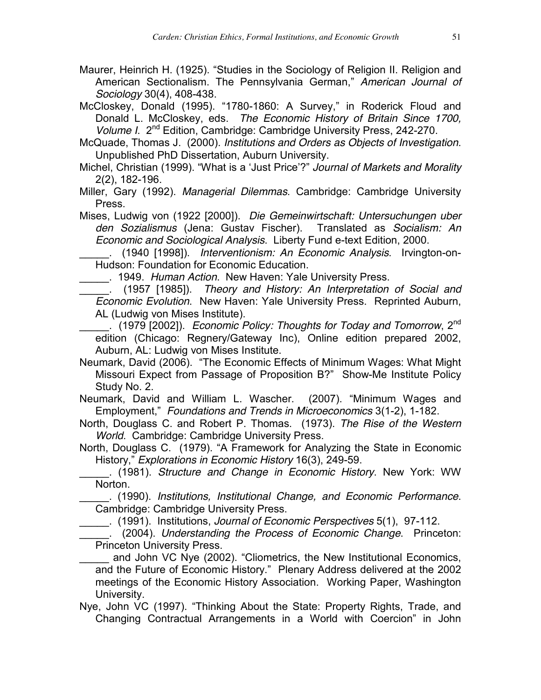Maurer, Heinrich H. (1925). "Studies in the Sociology of Religion II. Religion and American Sectionalism. The Pennsylvania German," *American Journal of Sociology* 30(4), 408-438.

McCloskey, Donald (1995). "1780-1860: A Survey," in Roderick Floud and Donald L. McCloskey, eds. *The Economic History of Britain Since 1700, Volume I.* 2<sup>nd</sup> Edition, Cambridge: Cambridge University Press, 242-270.

McQuade, Thomas J. (2000). *Institutions and Orders as Objects of Investigation*. Unpublished PhD Dissertation, Auburn University.

Michel, Christian (1999). "What is a 'Just Price'?" *Journal of Markets and Morality* 2(2), 182-196.

Miller, Gary (1992). *Managerial Dilemmas*. Cambridge: Cambridge University Press.

Mises, Ludwig von (1922 [2000]). *Die Gemeinwirtschaft: Untersuchungen uber den Sozialismus* (Jena: Gustav Fischer). Translated as *Socialism: An Economic and Sociological Analysis*. Liberty Fund e-text Edition, 2000.

\_\_\_\_\_. (1940 [1998]). *Interventionism: An Economic Analysis*. Irvington-on-Hudson: Foundation for Economic Education.

\_\_\_\_\_. 1949. *Human Action*. New Haven: Yale University Press.

\_\_\_\_\_. (1957 [1985]). *Theory and History: An Interpretation of Social and Economic Evolution*. New Haven: Yale University Press. Reprinted Auburn, AL (Ludwig von Mises Institute).

\_\_\_\_\_. (1979 [2002]). *Economic Policy: Thoughts for Today and Tomorrow*, 2nd edition (Chicago: Regnery/Gateway Inc), Online edition prepared 2002, Auburn, AL: Ludwig von Mises Institute.

Neumark, David (2006). "The Economic Effects of Minimum Wages: What Might Missouri Expect from Passage of Proposition B?" Show-Me Institute Policy Study No. 2.

Neumark, David and William L. Wascher. (2007). "Minimum Wages and Employment," *Foundations and Trends in Microeconomics* 3(1-2), 1-182.

North, Douglass C. and Robert P. Thomas. (1973). *The Rise of the Western World*. Cambridge: Cambridge University Press.

North, Douglass C. (1979). "A Framework for Analyzing the State in Economic History," *Explorations in Economic History* 16(3), 249-59.

\_\_\_\_\_. (1981). *Structure and Change in Economic History*. New York: WW **Norton** 

\_\_\_\_\_. (1990). *Institutions, Institutional Change, and Economic Performance*. Cambridge: Cambridge University Press.

\_\_\_\_\_. (1991). Institutions, *Journal of Economic Perspectives* 5(1), 97-112.

\_\_\_\_\_. (2004). *Understanding the Process of Economic Change*. Princeton: Princeton University Press.

and John VC Nye (2002). "Cliometrics, the New Institutional Economics, and the Future of Economic History." Plenary Address delivered at the 2002 meetings of the Economic History Association. Working Paper, Washington University.

Nye, John VC (1997). "Thinking About the State: Property Rights, Trade, and Changing Contractual Arrangements in a World with Coercion" in John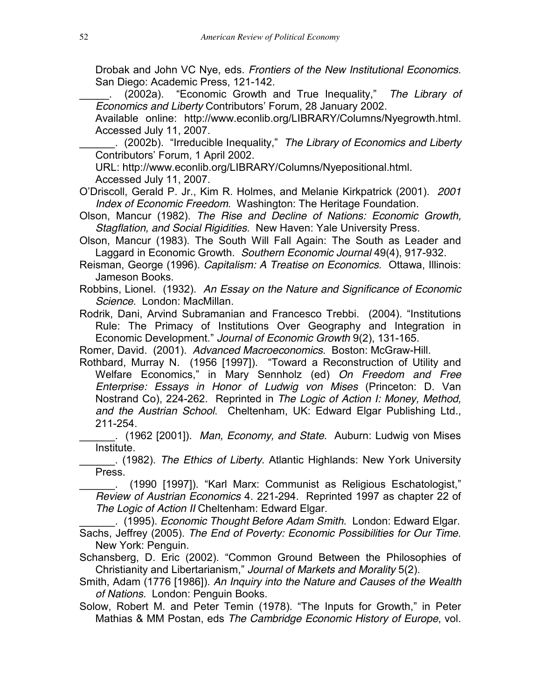Drobak and John VC Nye, eds. *Frontiers of the New Institutional Economics*. San Diego: Academic Press, 121-142.

\_\_\_\_\_. (2002a). "Economic Growth and True Inequality," *The Library of Economics and Liberty* Contributors' Forum, 28 January 2002.

Available online: http://www.econlib.org/LIBRARY/Columns/Nyegrowth.html. Accessed July 11, 2007.

\_\_\_\_\_\_. (2002b). "Irreducible Inequality," *The Library of Economics and Liberty* Contributors' Forum, 1 April 2002.

URL: http://www.econlib.org/LIBRARY/Columns/Nyepositional.html. Accessed July 11, 2007.

O'Driscoll, Gerald P. Jr., Kim R. Holmes, and Melanie Kirkpatrick (2001). *2001 Index of Economic Freedom*. Washington: The Heritage Foundation.

Olson, Mancur (1982). *The Rise and Decline of Nations: Economic Growth, Stagflation, and Social Rigidities*. New Haven: Yale University Press.

Olson, Mancur (1983). The South Will Fall Again: The South as Leader and Laggard in Economic Growth. *Southern Economic Journal* 49(4), 917-932.

Reisman, George (1996). *Capitalism: A Treatise on Economics*. Ottawa, Illinois: Jameson Books.

Robbins, Lionel. (1932). *An Essay on the Nature and Significance of Economic Science*. London: MacMillan.

Rodrik, Dani, Arvind Subramanian and Francesco Trebbi. (2004). "Institutions Rule: The Primacy of Institutions Over Geography and Integration in Economic Development." *Journal of Economic Growth* 9(2), 131-165.

Romer, David. (2001). *Advanced Macroeconomics*. Boston: McGraw-Hill.

Rothbard, Murray N. (1956 [1997]). "Toward a Reconstruction of Utility and Welfare Economics," in Mary Sennholz (ed) *On Freedom and Free Enterprise: Essays in Honor of Ludwig von Mises* (Princeton: D. Van Nostrand Co), 224-262. Reprinted in *The Logic of Action I: Money, Method, and the Austrian School*. Cheltenham, UK: Edward Elgar Publishing Ltd., 211-254.

\_\_\_\_\_\_. (1962 [2001]). *Man, Economy, and State.* Auburn: Ludwig von Mises Institute.

\_\_\_\_\_\_. (1982). *The Ethics of Liberty.* Atlantic Highlands: New York University Press.

\_\_\_\_\_\_. (1990 [1997]). "Karl Marx: Communist as Religious Eschatologist," *Review of Austrian Economics* 4. 221-294. Reprinted 1997 as chapter 22 of *The Logic of Action II* Cheltenham: Edward Elgar.

\_\_\_\_\_\_. (1995). *Economic Thought Before Adam Smith*. London: Edward Elgar. Sachs, Jeffrey (2005). *The End of Poverty: Economic Possibilities for Our Time*. New York: Penguin.

Schansberg, D. Eric (2002). "Common Ground Between the Philosophies of Christianity and Libertarianism," *Journal of Markets and Morality* 5(2).

Smith, Adam (1776 [1986]). *An Inquiry into the Nature and Causes of the Wealth of Nations*. London: Penguin Books.

Solow, Robert M. and Peter Temin (1978). "The Inputs for Growth," in Peter Mathias & MM Postan, eds *The Cambridge Economic History of Europe*, vol.